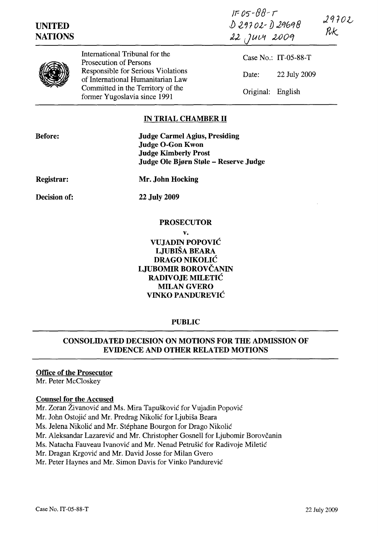| <b>UNITED</b><br><b>NATIONS</b> |                                                                         | $IF05 - 88 - T$<br>D29702-D29698<br>22 Juvi 2009 | 29702<br>RK |
|---------------------------------|-------------------------------------------------------------------------|--------------------------------------------------|-------------|
|                                 | International Tribunal for the<br>Prosecution of Persons                | Case No.: IT-05-88-T                             |             |
|                                 | Responsible for Serious Violations<br>of International Humanitarian Law | 22 July 2009<br>Date:                            |             |
|                                 | Committed in the Territory of the<br>former Yugoslavia since 1991       | Original:<br>English                             |             |

# IN TRIAL CHAMBER II

| <b>Before:</b>      | <b>Judge Carmel Agius, Presiding</b><br><b>Judge O-Gon Kwon</b><br><b>Judge Kimberly Prost</b><br>Judge Ole Bjørn Støle – Reserve Judge |
|---------------------|-----------------------------------------------------------------------------------------------------------------------------------------|
| <b>Registrar:</b>   | Mr. John Hocking                                                                                                                        |
| <b>Decision of:</b> | <b>22 July 2009</b>                                                                                                                     |
|                     | <b>PROSECUTOR</b>                                                                                                                       |

### v. VUJADIN POPOVIC LJUBISA BEARA DRAGO NIKOLIC LJUBOMIR BOROVCANIN RADIVOJE MILETIĆ MILAN GVERO VINKO PANDUREVIC

### PUBLIC

# CONSOLIDATED DECISION ON MOTIONS FOR THE ADMISSION OF EVIDENCE AND OTHER RELATED MOTIONS

#### Office of the Prosecutor

Mr. Peter McCloskey

#### Counsel for the Accused

Mr. Zoran Živanović and Ms. Mira Tapušković for Vujadin Popović

Mr. John Ostojic and Mr. Predrag Nikolic for Ljubisa Beara

Ms. Jelena Nikolic and Mr. Stephane Bourgon for Drago Nikolic

Mr. Aleksandar Lazarević and Mr. Christopher Gosnell for Ljubomir Borovčanin

Ms. Natacha Fauveau Ivanovic and Mr. Nenad Petrusic for Radivoje Miletic

Mr. Dragan Krgovic and Mr. David Josse for Milan Gvero

Mr. Peter Haynes and Mr. Simon Davis for Vinko Pandurevic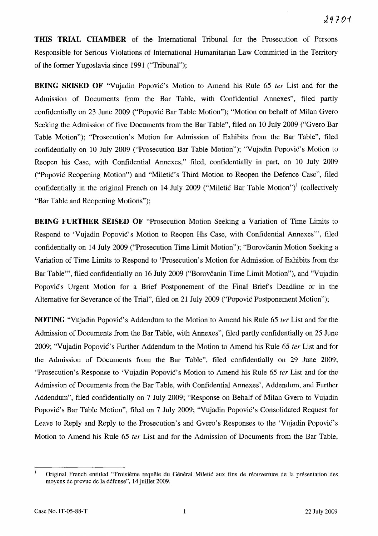**THIS TRIAL CHAMBER** of the International Tribunal for the Prosecution of Persons Responsible for Serious Violations of International Humanitarian Law Committed in the Territory of the former Yugoslavia since 1991 ("Tribunal");

**BEING SEISED OF** "Vujadin Popović's Motion to Amend his Rule 65 *ter* List and for the Admission of Documents from the Bar Table, with Confidential Annexes", filed partly confidentially on 23 June 2009 ("Popovic Bar Table Motion"); "Motion on behalf of Milan Gvero Seeking the Admission of five Documents from the Bar Table", filed on 10 July 2009 ("Gvero Bar Table Motion"); "Prosecution's Motion for Admission of Exhibits from the Bar Table", filed confidentially on 10 July 2009 ("Prosecution Bar Table Motion"); "Vujadin Popovic's Motion to Reopen his Case, with Confidential Annexes," filed, confidentially in part, on 10 July 2009 ("Popovic Reopening Motion") and "Miletic's Third Motion to Reopen the Defence Case", filed confidentially in the original French on 14 July 2009 ("Miletic Bar Table Motion")<sup>1</sup> (collectively "Bar Table and Reopening Motions");

**BEING FURTHER SEISED OF** "Prosecution Motion Seeking a Variation of Time Limits to Respond to 'Vujadin Popović's Motion to Reopen His Case, with Confidential Annexes'", filed confidentially on 14 July 2009 ("Prosecution Time Limit Motion"); "Borovčanin Motion Seeking a Variation of Time Limits to Respond to 'Prosecution's Motion for Admission of Exhibits from the Bar Table"', filed confidentially on 16 July 2009 ("Borovčanin Time Limit Motion"), and "Vujadin Popović's Urgent Motion for a Brief Postponement of the Final Brief's Deadline or in the Alternative for Severance of the Trial", filed on 21 July 2009 ("Popovic Postponement Motion");

**NOTING** "Vujadin Popović's Addendum to the Motion to Amend his Rule 65 *ter* List and for the Admission of Documents from the Bar Table, with Annexes", filed partly confidentially on 25 June 2009; "Vujadin Popović's Further Addendum to the Motion to Amend his Rule 65 ter List and for the Admission of Documents from the Bar Table", filed confidentially on 29 June 2009; "Prosecution's Response to 'Vujadin Popović's Motion to Amend his Rule 65 ter List and for the Admission of Documents from the Bar Table, with Confidential Annexes', Addendum, and Further Addendum", filed confidentially on 7 July 2009; "Response on Behalf of Milan Gvero to Vujadin Popovic's Bar Table Motion", filed on 7 July 2009; "Vujadin Popovic's Consolidated Request for Leave to Reply and Reply to the Prosecution's and Gvero's Responses to the 'Vujadin Popovic's Motion to Amend his Rule 65 fer List and for the Admission of Documents from the Bar Table,

 $\mathbf{I}$ Original French entitled "Troisième requête du Général Miletic aux fins de réouverture de la présentation des moyens de prevue de la defense", 14 juillet 2009.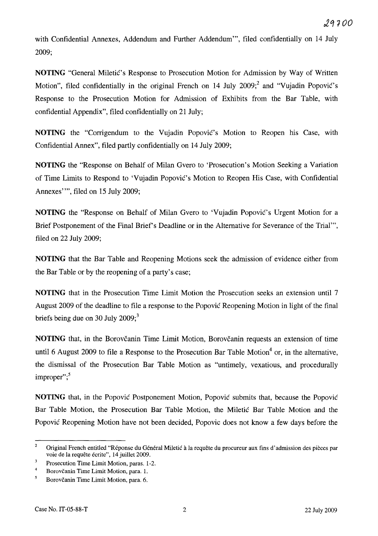with Confidential Annexes, Addendum and Further Addendum''', filed confidentially on 14 July 2009;

**NOTING** "General Miletic's Response to Prosecution Motion for Admission by Way of Written Motion", filed confidentially in the original French on 14 July  $2009$ ; and "Vujadin Popović's Response to the Prosecution Motion for Admission of Exhibits from the Bar Table, with confidential Appendix", filed confidentially on 21 July;

**NOTING** the "Corrigendum to the Vujadin Popovic's Motion to Reopen his Case, with Confidential Annex", filed partly confidentially on 14 July 2009;

**NOTING** the "Response on Behalf of Milan Gvero to 'Prosecution's Motion Seeking a Variation of Time Limits to Respond to 'Vujadin Popovic's Motion to Reopen His Case, with Confidential Annexes"", filed on 15 July 2009;

**NOTING** the "Response on Behalf of Milan Gvero to 'Vujadin Popovic's Urgent Motion for a Brief Postponement of the Final Brief's Deadline or in the Alternative for Severance of the Trial''', filed on 22 July 2009;

**NOTING** that the Bar Table and Reopening Motions seek the admission of evidence either from the Bar Table or by the reopening of a party's case;

**NOTING** that in the Prosecution Time Limit Motion the Prosecution seeks an extension until 7 August 2009 of the deadline to file a response to the Popovic Reopening Motion in light of the final briefs being due on 30 July  $2009$ ;<sup>3</sup>

**NOTING** that, in the Borovčanin Time Limit Motion, Borovčanin requests an extension of time until 6 August 2009 to file a Response to the Prosecution Bar Table Motion<sup>4</sup> or, in the alternative, the dismissal of the Prosecution Bar Table Motion as "untimely, vexatious, and procedurally improper";<sup>5</sup>

**NOTING** that, in the Popovic Postponement Motion, Popovic submits that, because the Popovic Bar Table Motion, the Prosecution Bar Table Motion, the Miletic Bar Table Motion and the Popovic Reopening Motion have not been decided, Popovic does not know a few days before the

<sup>2</sup>  Original French entitled "Réponse du Général Miletić à la requête du procureur aux fins d'admission des pièces par voie de la requête écrite", 14 juillet 2009.

<sup>3</sup> Prosecution Time Limit Motion, paras. 1-2.

<sup>4</sup>  Borovčanin Time Limit Motion, para. 1.

 $\overline{\mathbf{5}}$ Borovčanin Time Limit Motion, para. 6.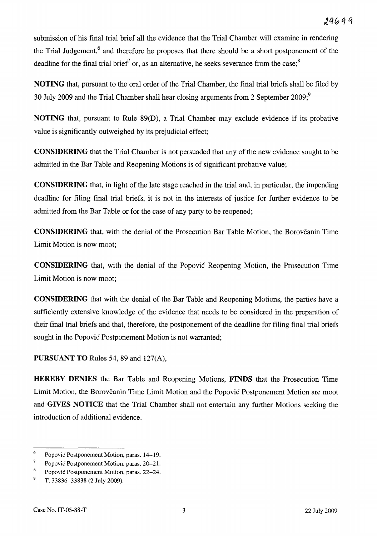submission of his final trial brief all the evidence that the Trial Chamber will examine in rendering the Trial Judgement,<sup>6</sup> and therefore he proposes that there should be a short postponement of the deadline for the final trial brief<sup>7</sup> or, as an alternative, he seeks severance from the case;<sup>8</sup>

**NOTING** that, pursuant to the oral order of the Trial Chamber, the final trial briefs shall be filed by 30 July 2009 and the Trial Chamber shall hear closing arguments from 2 September 2009;<sup>9</sup>

**NOTING** that, pursuant to Rule 89(D), a Trial Chamber may exclude evidence if its probative value is significantly outweighed by its prejudicial effect;

**CONSIDERING** that the Trial Chamber is not persuaded that any of the new evidence sought to be admitted in the Bar Table and Reopening Motions is of significant probative value;

**CONSIDERING** that, in light of the late stage reached in the trial and, in particular, the impending deadline for filing final trial briefs, it is not in the interests of justice for further evidence to be admitted from the Bar Table or for the case of any party to be reopened;

**CONSIDERING** that, with the denial of the Prosecution Bar Table Motion, the Borovcanin Time Limit Motion is now moot;

**CONSIDERING** that, with the denial of the Popovic Reopening Motion, the Prosecution Time Limit Motion is now moot;

**CONSIDERING** that with the denial of the Bar Table and Reopening Motions, the parties have a sufficiently extensive knowledge of the evidence that needs to be considered in the preparation of their final trial briefs and that, therefore, the postponement of the deadline for filing final trial briefs sought in the Popovic Postponement Motion is not warranted;

**PURSUANT TO** Rules 54, 89 and 127(A),

**HEREBY DENIES** the Bar Table and Reopening Motions, **FINDS** that the Prosecution Time Limit Motion, the Borovčanin Time Limit Motion and the Popović Postponement Motion are moot and **GIVES NOTICE** that the Trial Chamber shall not entertain any further Motions seeking the introduction of additional evidence.

<sup>6</sup>  Popovic Postponement Motion, paras. 14-19.

<sup>7</sup>  Popovic Postponement Motion, paras. 20-21.

<sup>8</sup> Popovic Postponement Motion, paras. 22-24.

<sup>9</sup>  T. 33836-33838 (2 July 2009).